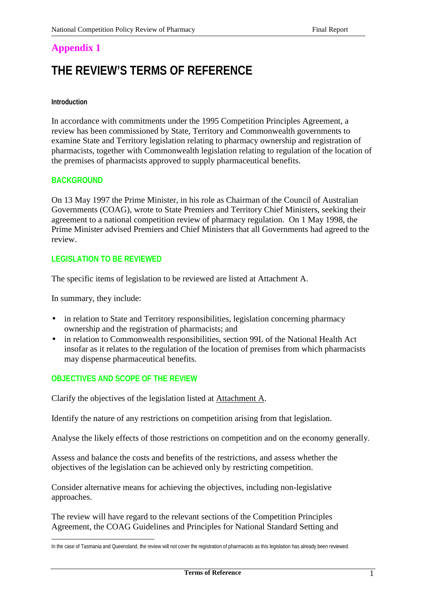# **THE REVIEW'S TERMS OF REFERENCE**

#### **Introduction**

In accordance with commitments under the 1995 Competition Principles Agreement, a review has been commissioned by State, Territory and Commonwealth governments to examine State and Territory legislation relating to pharmacy ownership and registration of pharmacists, together with Commonwealth legislation relating to regulation of the location of the premises of pharmacists approved to supply pharmaceutical benefits.

## **BACKGROUND**

On 13 May 1997 the Prime Minister, in his role as Chairman of the Council of Australian Governments (COAG), wrote to State Premiers and Territory Chief Ministers, seeking their agreement to a national competition review of pharmacy regulation. On 1 May 1998, the Prime Minister advised Premiers and Chief Ministers that all Governments had agreed to the review.

## **LEGISLATION TO BE REVIEWED**

The specific items of legislation to be reviewed are listed at Attachment A.

In summary, they include:

- in relation to State and Territory responsibilities, legislation concerning pharmacy ownership and the registration of pharmacists; and
- in relation to Commonwealth responsibilities, section 99L of the National Health Act insofar as it relates to the regulation of the location of premises from which pharmacists may dispense pharmaceutical benefits.

## **OBJECTIVES AND SCOPE OF THE REVIEW**

Clarify the objectives of the legislation listed at Attachment A.

Identify the nature of any restrictions on competition arising from that legislation.

Analyse the likely effects of those restrictions on competition and on the economy generally.

Assess and balance the costs and benefits of the restrictions, and assess whether the objectives of the legislation can be achieved only by restricting competition.

Consider alternative means for achieving the objectives, including non-legislative approaches.

The review will have regard to the relevant sections of the Competition Principles Agreement, the COAG Guidelines and Principles for National Standard Setting and

 $\overline{a}$ In the case of Tasmania and Queensland, the review will not cover the registration of pharmacists as this legislation has already been reviewed.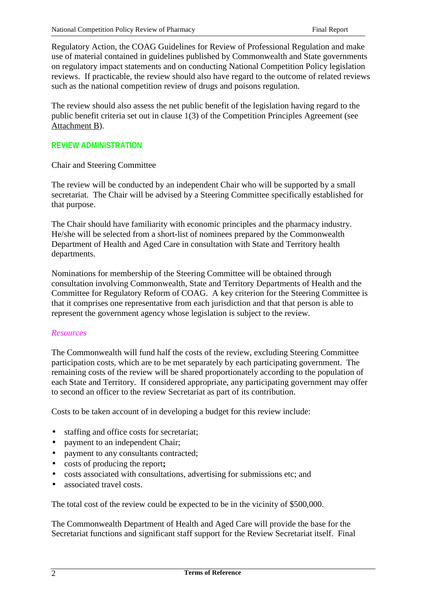Regulatory Action, the COAG Guidelines for Review of Professional Regulation and make use of material contained in guidelines published by Commonwealth and State governments on regulatory impact statements and on conducting National Competition Policy legislation reviews. If practicable, the review should also have regard to the outcome of related reviews such as the national competition review of drugs and poisons regulation.

The review should also assess the net public benefit of the legislation having regard to the public benefit criteria set out in clause 1(3) of the Competition Principles Agreement (see Attachment B).

## **REVIEW ADMINISTRATION**

Chair and Steering Committee

The review will be conducted by an independent Chair who will be supported by a small secretariat. The Chair will be advised by a Steering Committee specifically established for that purpose.

The Chair should have familiarity with economic principles and the pharmacy industry. He/she will be selected from a short-list of nominees prepared by the Commonwealth Department of Health and Aged Care in consultation with State and Territory health departments.

Nominations for membership of the Steering Committee will be obtained through consultation involving Commonwealth, State and Territory Departments of Health and the Committee for Regulatory Reform of COAG. A key criterion for the Steering Committee is that it comprises one representative from each jurisdiction and that that person is able to represent the government agency whose legislation is subject to the review.

#### *Resources*

The Commonwealth will fund half the costs of the review, excluding Steering Committee participation costs, which are to be met separately by each participating government. The remaining costs of the review will be shared proportionately according to the population of each State and Territory. If considered appropriate, any participating government may offer to second an officer to the review Secretariat as part of its contribution.

Costs to be taken account of in developing a budget for this review include:

- staffing and office costs for secretariat;
- payment to an independent Chair;
- payment to any consultants contracted;
- costs of producing the report**;**
- costs associated with consultations, advertising for submissions etc; and
- associated travel costs.

The total cost of the review could be expected to be in the vicinity of \$500,000.

The Commonwealth Department of Health and Aged Care will provide the base for the Secretariat functions and significant staff support for the Review Secretariat itself. Final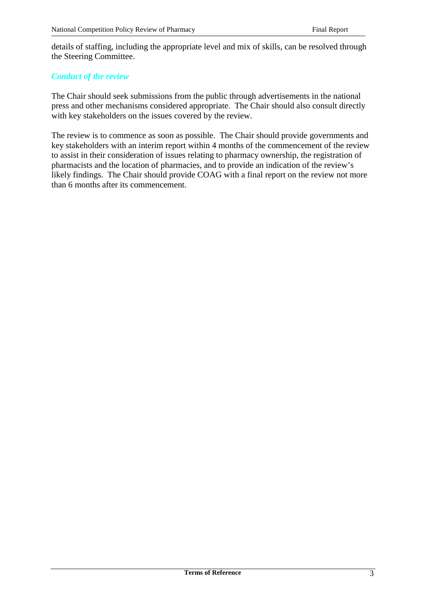details of staffing, including the appropriate level and mix of skills, can be resolved through the Steering Committee.

#### *Conduct of the review*

The Chair should seek submissions from the public through advertisements in the national press and other mechanisms considered appropriate. The Chair should also consult directly with key stakeholders on the issues covered by the review.

The review is to commence as soon as possible. The Chair should provide governments and key stakeholders with an interim report within 4 months of the commencement of the review to assist in their consideration of issues relating to pharmacy ownership, the registration of pharmacists and the location of pharmacies, and to provide an indication of the review's likely findings. The Chair should provide COAG with a final report on the review not more than 6 months after its commencement.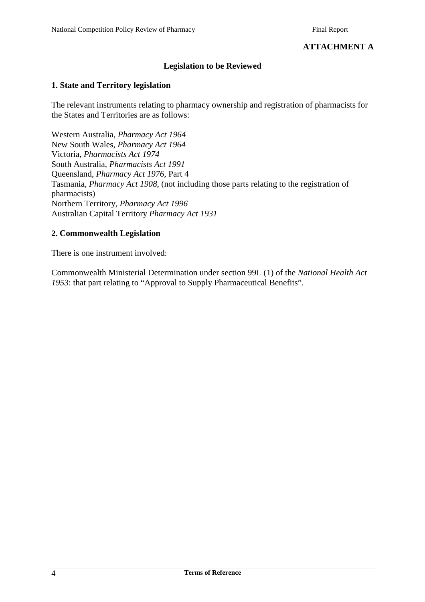## **ATTACHMENT A**

#### **Legislation to be Reviewed**

#### **1. State and Territory legislation**

The relevant instruments relating to pharmacy ownership and registration of pharmacists for the States and Territories are as follows:

Western Australia, *Pharmacy Act 1964* New South Wales, *Pharmacy Act 1964* Victoria, *Pharmacists Act 1974* South Australia, *Pharmacists Act 1991* Queensland, *Pharmacy Act 1976*, Part 4 Tasmania, *Pharmacy Act 1908*, (not including those parts relating to the registration of pharmacists) Northern Territory, *Pharmacy Act 1996* Australian Capital Territory *Pharmacy Act 1931*

#### **2. Commonwealth Legislation**

There is one instrument involved:

Commonwealth Ministerial Determination under section 99L (1) of the *National Health Act 1953*: that part relating to "Approval to Supply Pharmaceutical Benefits".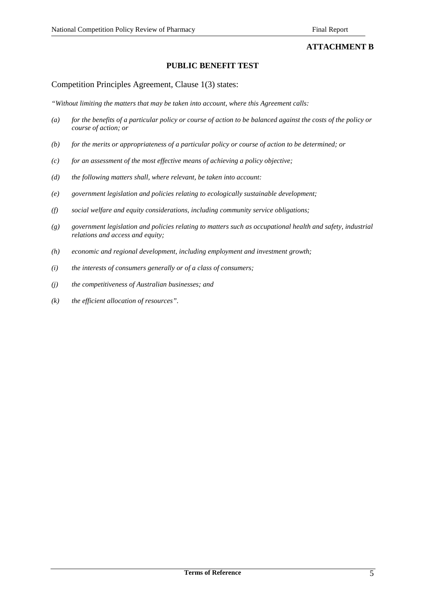#### **ATTACHMENT B**

#### **PUBLIC BENEFIT TEST**

#### Competition Principles Agreement, Clause 1(3) states:

*"Without limiting the matters that may be taken into account, where this Agreement calls:*

- *(a) for the benefits of a particular policy or course of action to be balanced against the costs of the policy or course of action; or*
- *(b) for the merits or appropriateness of a particular policy or course of action to be determined; or*
- *(c) for an assessment of the most effective means of achieving a policy objective;*
- *(d) the following matters shall, where relevant, be taken into account:*
- *(e) government legislation and policies relating to ecologically sustainable development;*
- *(f) social welfare and equity considerations, including community service obligations;*
- *(g) government legislation and policies relating to matters such as occupational health and safety, industrial relations and access and equity;*
- *(h) economic and regional development, including employment and investment growth;*
- *(i) the interests of consumers generally or of a class of consumers;*
- *(j) the competitiveness of Australian businesses; and*
- *(k) the efficient allocation of resources".*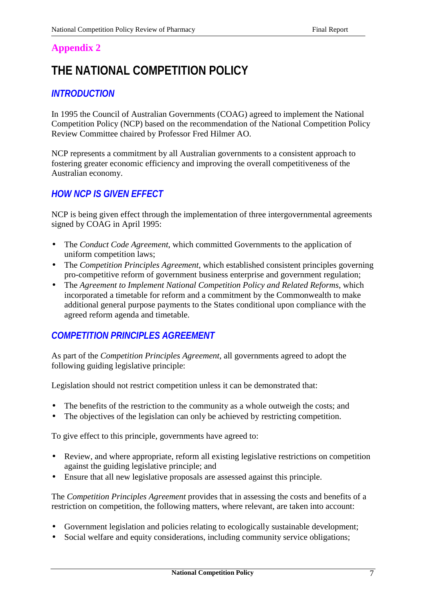# **THE NATIONAL COMPETITION POLICY**

# *INTRODUCTION*

In 1995 the Council of Australian Governments (COAG) agreed to implement the National Competition Policy (NCP) based on the recommendation of the National Competition Policy Review Committee chaired by Professor Fred Hilmer AO.

NCP represents a commitment by all Australian governments to a consistent approach to fostering greater economic efficiency and improving the overall competitiveness of the Australian economy.

# *HOW NCP IS GIVEN EFFECT*

NCP is being given effect through the implementation of three intergovernmental agreements signed by COAG in April 1995:

- The *Conduct Code Agreement*, which committed Governments to the application of uniform competition laws;
- The *Competition Principles Agreement*, which established consistent principles governing pro-competitive reform of government business enterprise and government regulation;
- The *Agreement to Implement National Competition Policy and Related Reforms*, which incorporated a timetable for reform and a commitment by the Commonwealth to make additional general purpose payments to the States conditional upon compliance with the agreed reform agenda and timetable.

# *COMPETITION PRINCIPLES AGREEMENT*

As part of the *Competition Principles Agreement*, all governments agreed to adopt the following guiding legislative principle:

Legislation should not restrict competition unless it can be demonstrated that:

- The benefits of the restriction to the community as a whole outweigh the costs; and
- The objectives of the legislation can only be achieved by restricting competition.

To give effect to this principle, governments have agreed to:

- Review, and where appropriate, reform all existing legislative restrictions on competition against the guiding legislative principle; and
- Ensure that all new legislative proposals are assessed against this principle.

The *Competition Principles Agreement* provides that in assessing the costs and benefits of a restriction on competition, the following matters, where relevant, are taken into account:

- Government legislation and policies relating to ecologically sustainable development;
- Social welfare and equity considerations, including community service obligations;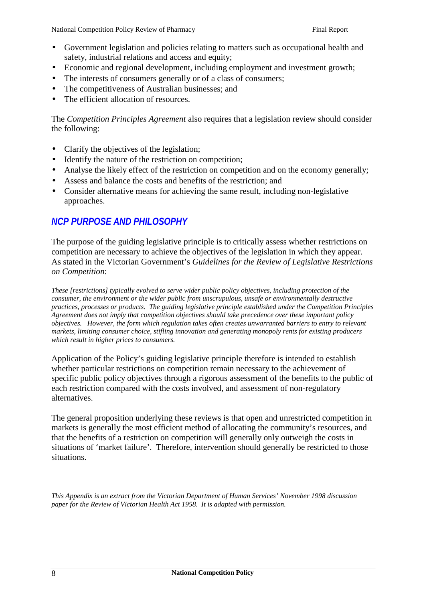- Government legislation and policies relating to matters such as occupational health and safety, industrial relations and access and equity;
- Economic and regional development, including employment and investment growth;
- The interests of consumers generally or of a class of consumers;
- The competitiveness of Australian businesses; and
- The efficient allocation of resources

The *Competition Principles Agreement* also requires that a legislation review should consider the following:

- Clarify the objectives of the legislation;
- Identify the nature of the restriction on competition;
- Analyse the likely effect of the restriction on competition and on the economy generally;
- Assess and balance the costs and benefits of the restriction; and
- Consider alternative means for achieving the same result, including non-legislative approaches.

## *NCP PURPOSE AND PHILOSOPHY*

The purpose of the guiding legislative principle is to critically assess whether restrictions on competition are necessary to achieve the objectives of the legislation in which they appear. As stated in the Victorian Government's *Guidelines for the Review of Legislative Restrictions on Competition*:

*These [restrictions] typically evolved to serve wider public policy objectives, including protection of the consumer, the environment or the wider public from unscrupulous, unsafe or environmentally destructive practices, processes or products. The guiding legislative principle established under the Competition Principles Agreement does not imply that competition objectives should take precedence over these important policy objectives. However, the form which regulation takes often creates unwarranted barriers to entry to relevant markets, limiting consumer choice, stifling innovation and generating monopoly rents for existing producers which result in higher prices to consumers.*

Application of the Policy's guiding legislative principle therefore is intended to establish whether particular restrictions on competition remain necessary to the achievement of specific public policy objectives through a rigorous assessment of the benefits to the public of each restriction compared with the costs involved, and assessment of non-regulatory alternatives.

The general proposition underlying these reviews is that open and unrestricted competition in markets is generally the most efficient method of allocating the community's resources, and that the benefits of a restriction on competition will generally only outweigh the costs in situations of 'market failure'. Therefore, intervention should generally be restricted to those situations.

*This Appendix is an extract from the Victorian Department of Human Services' November 1998 discussion paper for the Review of Victorian Health Act 1958. It is adapted with permission.*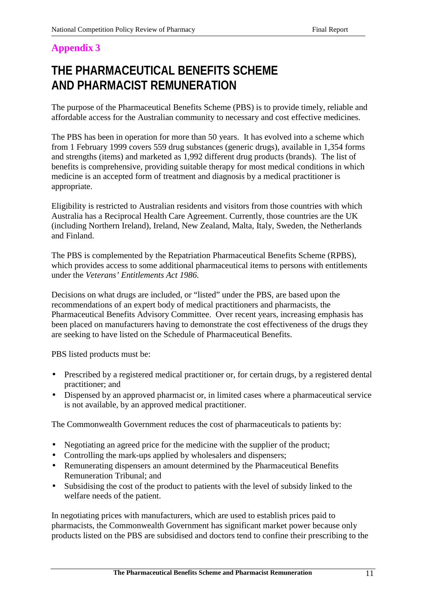# **THE PHARMACEUTICAL BENEFITS SCHEME AND PHARMACIST REMUNERATION**

The purpose of the Pharmaceutical Benefits Scheme (PBS) is to provide timely, reliable and affordable access for the Australian community to necessary and cost effective medicines.

The PBS has been in operation for more than 50 years. It has evolved into a scheme which from 1 February 1999 covers 559 drug substances (generic drugs), available in 1,354 forms and strengths (items) and marketed as 1,992 different drug products (brands). The list of benefits is comprehensive, providing suitable therapy for most medical conditions in which medicine is an accepted form of treatment and diagnosis by a medical practitioner is appropriate.

Eligibility is restricted to Australian residents and visitors from those countries with which Australia has a Reciprocal Health Care Agreement. Currently, those countries are the UK (including Northern Ireland), Ireland, New Zealand, Malta, Italy, Sweden, the Netherlands and Finland.

The PBS is complemented by the Repatriation Pharmaceutical Benefits Scheme (RPBS), which provides access to some additional pharmaceutical items to persons with entitlements under the *Veterans' Entitlements Act 1986*.

Decisions on what drugs are included, or "listed" under the PBS, are based upon the recommendations of an expert body of medical practitioners and pharmacists, the Pharmaceutical Benefits Advisory Committee. Over recent years, increasing emphasis has been placed on manufacturers having to demonstrate the cost effectiveness of the drugs they are seeking to have listed on the Schedule of Pharmaceutical Benefits.

PBS listed products must be:

- Prescribed by a registered medical practitioner or, for certain drugs, by a registered dental practitioner; and
- Dispensed by an approved pharmacist or, in limited cases where a pharmaceutical service is not available, by an approved medical practitioner.

The Commonwealth Government reduces the cost of pharmaceuticals to patients by:

- Negotiating an agreed price for the medicine with the supplier of the product;
- Controlling the mark-ups applied by wholesalers and dispensers;
- Remunerating dispensers an amount determined by the Pharmaceutical Benefits Remuneration Tribunal; and
- Subsidising the cost of the product to patients with the level of subsidy linked to the welfare needs of the patient.

In negotiating prices with manufacturers, which are used to establish prices paid to pharmacists, the Commonwealth Government has significant market power because only products listed on the PBS are subsidised and doctors tend to confine their prescribing to the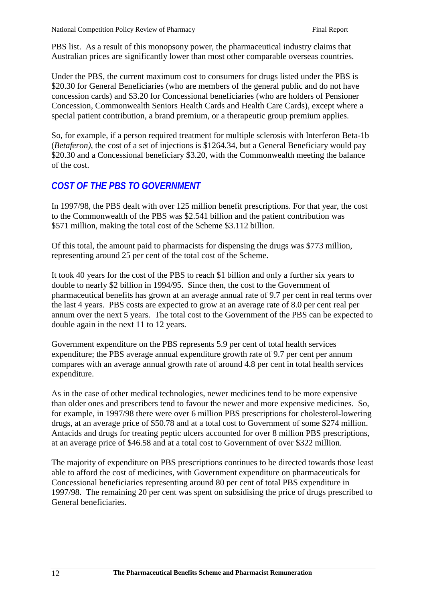PBS list. As a result of this monopsony power, the pharmaceutical industry claims that Australian prices are significantly lower than most other comparable overseas countries.

Under the PBS, the current maximum cost to consumers for drugs listed under the PBS is \$20.30 for General Beneficiaries (who are members of the general public and do not have concession cards) and \$3.20 for Concessional beneficiaries (who are holders of Pensioner Concession, Commonwealth Seniors Health Cards and Health Care Cards), except where a special patient contribution, a brand premium, or a therapeutic group premium applies.

So, for example, if a person required treatment for multiple sclerosis with Interferon Beta-1b (*Betaferon)*, the cost of a set of injections is \$1264.34, but a General Beneficiary would pay \$20.30 and a Concessional beneficiary \$3.20, with the Commonwealth meeting the balance of the cost.

# *COST OF THE PBS TO GOVERNMENT*

In 1997/98, the PBS dealt with over 125 million benefit prescriptions. For that year, the cost to the Commonwealth of the PBS was \$2.541 billion and the patient contribution was \$571 million, making the total cost of the Scheme \$3.112 billion.

Of this total, the amount paid to pharmacists for dispensing the drugs was \$773 million, representing around 25 per cent of the total cost of the Scheme.

It took 40 years for the cost of the PBS to reach \$1 billion and only a further six years to double to nearly \$2 billion in 1994/95. Since then, the cost to the Government of pharmaceutical benefits has grown at an average annual rate of 9.7 per cent in real terms over the last 4 years. PBS costs are expected to grow at an average rate of 8.0 per cent real per annum over the next 5 years. The total cost to the Government of the PBS can be expected to double again in the next 11 to 12 years.

Government expenditure on the PBS represents 5.9 per cent of total health services expenditure; the PBS average annual expenditure growth rate of 9.7 per cent per annum compares with an average annual growth rate of around 4.8 per cent in total health services expenditure.

As in the case of other medical technologies, newer medicines tend to be more expensive than older ones and prescribers tend to favour the newer and more expensive medicines. So, for example, in 1997/98 there were over 6 million PBS prescriptions for cholesterol-lowering drugs, at an average price of \$50.78 and at a total cost to Government of some \$274 million. Antacids and drugs for treating peptic ulcers accounted for over 8 million PBS prescriptions, at an average price of \$46.58 and at a total cost to Government of over \$322 million.

The majority of expenditure on PBS prescriptions continues to be directed towards those least able to afford the cost of medicines, with Government expenditure on pharmaceuticals for Concessional beneficiaries representing around 80 per cent of total PBS expenditure in 1997/98. The remaining 20 per cent was spent on subsidising the price of drugs prescribed to General beneficiaries.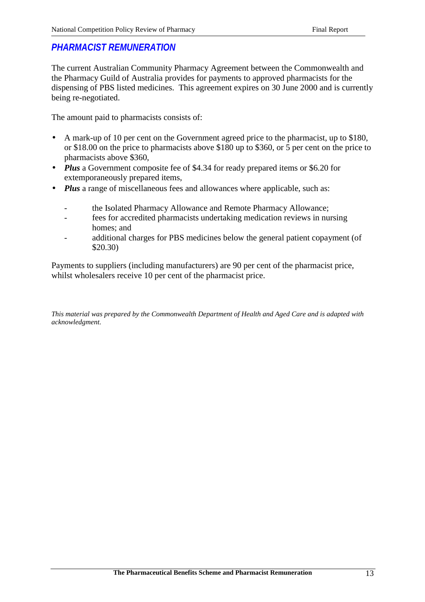# *PHARMACIST REMUNERATION*

The current Australian Community Pharmacy Agreement between the Commonwealth and the Pharmacy Guild of Australia provides for payments to approved pharmacists for the dispensing of PBS listed medicines. This agreement expires on 30 June 2000 and is currently being re-negotiated.

The amount paid to pharmacists consists of:

- A mark-up of 10 per cent on the Government agreed price to the pharmacist, up to \$180, or \$18.00 on the price to pharmacists above \$180 up to \$360, or 5 per cent on the price to pharmacists above \$360,
- *Plus* a Government composite fee of \$4.34 for ready prepared items or \$6.20 for extemporaneously prepared items,
- *Plus* a range of miscellaneous fees and allowances where applicable, such as:
	- the Isolated Pharmacy Allowance and Remote Pharmacy Allowance;
	- fees for accredited pharmacists undertaking medication reviews in nursing homes; and
	- additional charges for PBS medicines below the general patient copayment (of \$20.30)

Payments to suppliers (including manufacturers) are 90 per cent of the pharmacist price, whilst wholesalers receive 10 per cent of the pharmacist price.

*This material was prepared by the Commonwealth Department of Health and Aged Care and is adapted with acknowledgment.*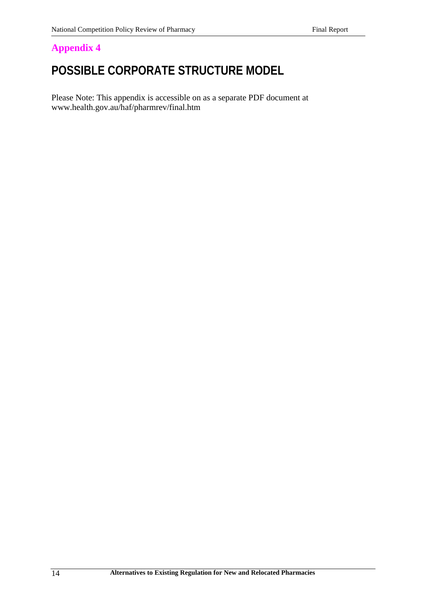# **POSSIBLE CORPORATE STRUCTURE MODEL**

Please Note: This appendix is accessible on as a separate PDF document at www.health.gov.au/haf/pharmrev/final.htm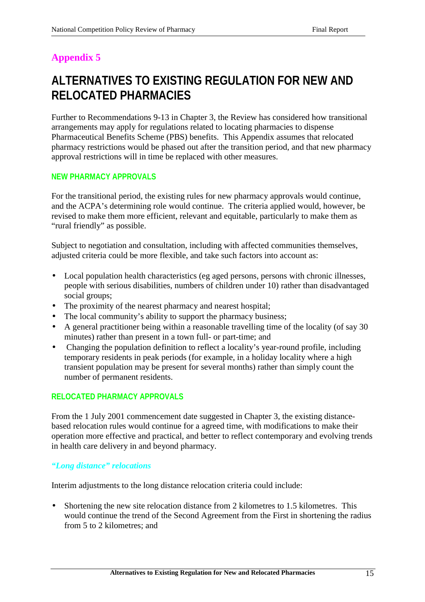# **ALTERNATIVES TO EXISTING REGULATION FOR NEW AND RELOCATED PHARMACIES**

Further to Recommendations 9-13 in Chapter 3, the Review has considered how transitional arrangements may apply for regulations related to locating pharmacies to dispense Pharmaceutical Benefits Scheme (PBS) benefits. This Appendix assumes that relocated pharmacy restrictions would be phased out after the transition period, and that new pharmacy approval restrictions will in time be replaced with other measures.

## **NEW PHARMACY APPROVALS**

For the transitional period, the existing rules for new pharmacy approvals would continue, and the ACPA's determining role would continue. The criteria applied would, however, be revised to make them more efficient, relevant and equitable, particularly to make them as "rural friendly" as possible.

Subject to negotiation and consultation, including with affected communities themselves, adjusted criteria could be more flexible, and take such factors into account as:

- Local population health characteristics (eg aged persons, persons with chronic illnesses, people with serious disabilities, numbers of children under 10) rather than disadvantaged social groups;
- The proximity of the nearest pharmacy and nearest hospital;
- The local community's ability to support the pharmacy business;
- A general practitioner being within a reasonable travelling time of the locality (of say 30 minutes) rather than present in a town full- or part-time; and
- Changing the population definition to reflect a locality's year-round profile, including temporary residents in peak periods (for example, in a holiday locality where a high transient population may be present for several months) rather than simply count the number of permanent residents.

## **RELOCATED PHARMACY APPROVALS**

From the 1 July 2001 commencement date suggested in Chapter 3, the existing distancebased relocation rules would continue for a agreed time, with modifications to make their operation more effective and practical, and better to reflect contemporary and evolving trends in health care delivery in and beyond pharmacy.

## *"Long distance" relocations*

Interim adjustments to the long distance relocation criteria could include:

• Shortening the new site relocation distance from 2 kilometres to 1.5 kilometres. This would continue the trend of the Second Agreement from the First in shortening the radius from 5 to 2 kilometres; and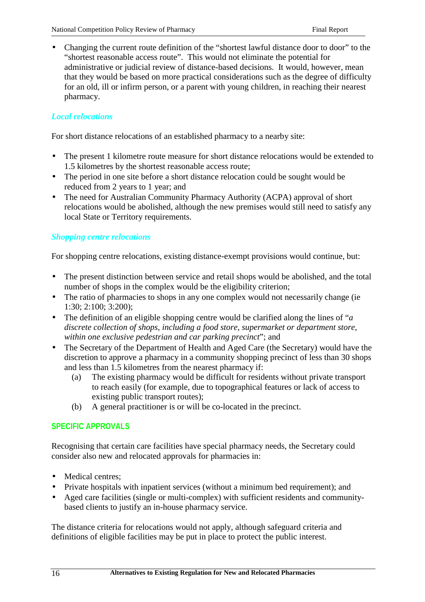• Changing the current route definition of the "shortest lawful distance door to door" to the "shortest reasonable access route". This would not eliminate the potential for administrative or judicial review of distance-based decisions. It would, however, mean that they would be based on more practical considerations such as the degree of difficulty for an old, ill or infirm person, or a parent with young children, in reaching their nearest pharmacy.

## *Local relocations*

For short distance relocations of an established pharmacy to a nearby site:

- The present 1 kilometre route measure for short distance relocations would be extended to 1.5 kilometres by the shortest reasonable access route;
- The period in one site before a short distance relocation could be sought would be reduced from 2 years to 1 year; and
- The need for Australian Community Pharmacy Authority (ACPA) approval of short relocations would be abolished, although the new premises would still need to satisfy any local State or Territory requirements.

## *Shopping centre relocations*

For shopping centre relocations, existing distance-exempt provisions would continue, but:

- The present distinction between service and retail shops would be abolished, and the total number of shops in the complex would be the eligibility criterion;
- The ratio of pharmacies to shops in any one complex would not necessarily change (ie) 1:30; 2:100; 3:200);
- The definition of an eligible shopping centre would be clarified along the lines of "*a discrete collection of shops, including a food store, supermarket or department store, within one exclusive pedestrian and car parking precinct*"; and
- The Secretary of the Department of Health and Aged Care (the Secretary) would have the discretion to approve a pharmacy in a community shopping precinct of less than 30 shops and less than 1.5 kilometres from the nearest pharmacy if:
	- (a) The existing pharmacy would be difficult for residents without private transport to reach easily (for example, due to topographical features or lack of access to existing public transport routes);
	- (b) A general practitioner is or will be co-located in the precinct.

## **SPECIFIC APPROVALS**

Recognising that certain care facilities have special pharmacy needs, the Secretary could consider also new and relocated approvals for pharmacies in:

- Medical centres;
- Private hospitals with inpatient services (without a minimum bed requirement); and
- Aged care facilities (single or multi-complex) with sufficient residents and communitybased clients to justify an in-house pharmacy service.

The distance criteria for relocations would not apply, although safeguard criteria and definitions of eligible facilities may be put in place to protect the public interest.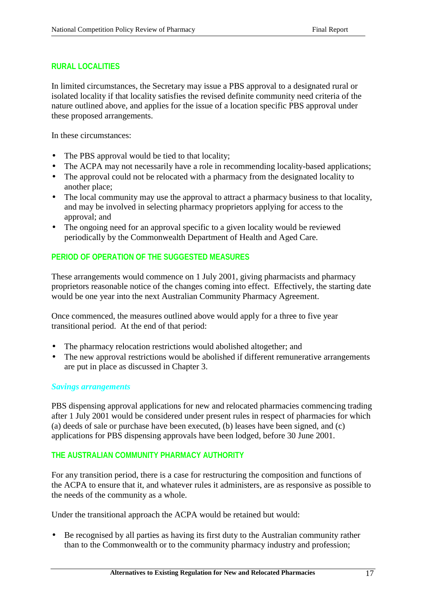#### **RURAL LOCALITIES**

In limited circumstances, the Secretary may issue a PBS approval to a designated rural or isolated locality if that locality satisfies the revised definite community need criteria of the nature outlined above, and applies for the issue of a location specific PBS approval under these proposed arrangements.

In these circumstances:

- The PBS approval would be tied to that locality;
- The ACPA may not necessarily have a role in recommending locality-based applications;
- The approval could not be relocated with a pharmacy from the designated locality to another place;
- The local community may use the approval to attract a pharmacy business to that locality, and may be involved in selecting pharmacy proprietors applying for access to the approval; and
- The ongoing need for an approval specific to a given locality would be reviewed periodically by the Commonwealth Department of Health and Aged Care.

## **PERIOD OF OPERATION OF THE SUGGESTED MEASURES**

These arrangements would commence on 1 July 2001, giving pharmacists and pharmacy proprietors reasonable notice of the changes coming into effect. Effectively, the starting date would be one year into the next Australian Community Pharmacy Agreement.

Once commenced, the measures outlined above would apply for a three to five year transitional period. At the end of that period:

- The pharmacy relocation restrictions would abolished altogether; and
- The new approval restrictions would be abolished if different remunerative arrangements are put in place as discussed in Chapter 3.

#### *Savings arrangements*

PBS dispensing approval applications for new and relocated pharmacies commencing trading after 1 July 2001 would be considered under present rules in respect of pharmacies for which (a) deeds of sale or purchase have been executed, (b) leases have been signed, and (c) applications for PBS dispensing approvals have been lodged, before 30 June 2001.

## **THE AUSTRALIAN COMMUNITY PHARMACY AUTHORITY**

For any transition period, there is a case for restructuring the composition and functions of the ACPA to ensure that it, and whatever rules it administers, are as responsive as possible to the needs of the community as a whole.

Under the transitional approach the ACPA would be retained but would:

• Be recognised by all parties as having its first duty to the Australian community rather than to the Commonwealth or to the community pharmacy industry and profession;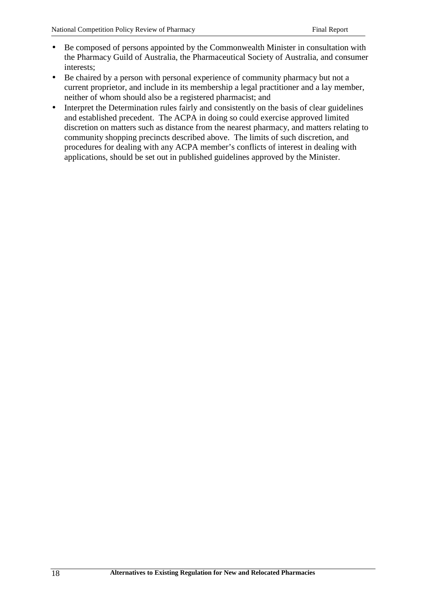- Be composed of persons appointed by the Commonwealth Minister in consultation with the Pharmacy Guild of Australia, the Pharmaceutical Society of Australia, and consumer interests;
- Be chaired by a person with personal experience of community pharmacy but not a current proprietor, and include in its membership a legal practitioner and a lay member, neither of whom should also be a registered pharmacist; and
- Interpret the Determination rules fairly and consistently on the basis of clear guidelines and established precedent. The ACPA in doing so could exercise approved limited discretion on matters such as distance from the nearest pharmacy, and matters relating to community shopping precincts described above. The limits of such discretion, and procedures for dealing with any ACPA member's conflicts of interest in dealing with applications, should be set out in published guidelines approved by the Minister.